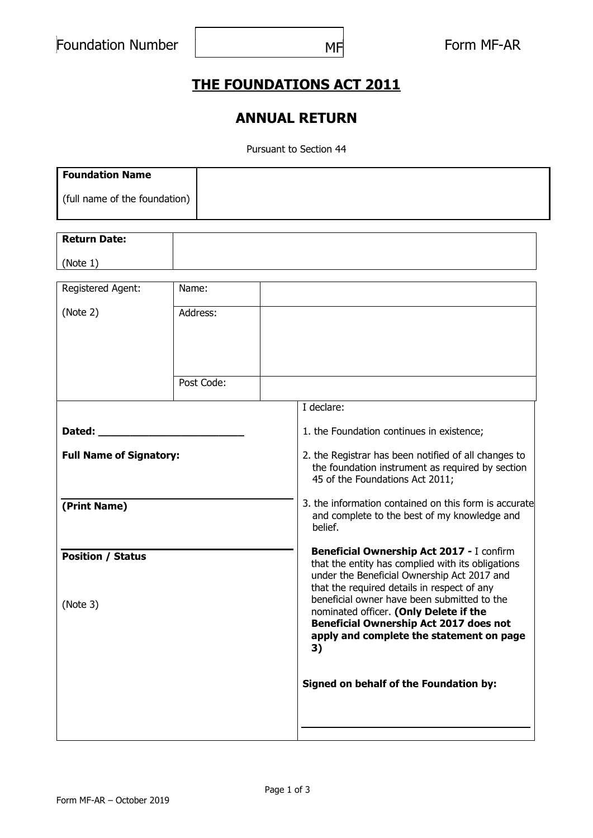## MF

# **THE FOUNDATIONS ACT 2011**

## **ANNUAL RETURN**

Pursuant to Section 44

| <b>Foundation Name</b>                                                                                                                                                                                                         |            |                                                                                                                                                                                                                                                                                                                                                                                          |
|--------------------------------------------------------------------------------------------------------------------------------------------------------------------------------------------------------------------------------|------------|------------------------------------------------------------------------------------------------------------------------------------------------------------------------------------------------------------------------------------------------------------------------------------------------------------------------------------------------------------------------------------------|
| (full name of the foundation)                                                                                                                                                                                                  |            |                                                                                                                                                                                                                                                                                                                                                                                          |
|                                                                                                                                                                                                                                |            |                                                                                                                                                                                                                                                                                                                                                                                          |
| <b>Return Date:</b>                                                                                                                                                                                                            |            |                                                                                                                                                                                                                                                                                                                                                                                          |
| (Note 1)                                                                                                                                                                                                                       |            |                                                                                                                                                                                                                                                                                                                                                                                          |
|                                                                                                                                                                                                                                |            |                                                                                                                                                                                                                                                                                                                                                                                          |
| Registered Agent:                                                                                                                                                                                                              | Name:      |                                                                                                                                                                                                                                                                                                                                                                                          |
| (Note 2)                                                                                                                                                                                                                       | Address:   |                                                                                                                                                                                                                                                                                                                                                                                          |
|                                                                                                                                                                                                                                |            |                                                                                                                                                                                                                                                                                                                                                                                          |
|                                                                                                                                                                                                                                |            |                                                                                                                                                                                                                                                                                                                                                                                          |
|                                                                                                                                                                                                                                |            |                                                                                                                                                                                                                                                                                                                                                                                          |
|                                                                                                                                                                                                                                | Post Code: |                                                                                                                                                                                                                                                                                                                                                                                          |
|                                                                                                                                                                                                                                |            | I declare:                                                                                                                                                                                                                                                                                                                                                                               |
|                                                                                                                                                                                                                                |            |                                                                                                                                                                                                                                                                                                                                                                                          |
| Dated: the contract of the contract of the contract of the contract of the contract of the contract of the contract of the contract of the contract of the contract of the contract of the contract of the contract of the con |            | 1. the Foundation continues in existence;                                                                                                                                                                                                                                                                                                                                                |
| <b>Full Name of Signatory:</b>                                                                                                                                                                                                 |            | 2. the Registrar has been notified of all changes to<br>the foundation instrument as required by section<br>45 of the Foundations Act 2011;                                                                                                                                                                                                                                              |
| (Print Name)                                                                                                                                                                                                                   |            | 3. the information contained on this form is accurate<br>and complete to the best of my knowledge and<br>belief.                                                                                                                                                                                                                                                                         |
| <b>Position / Status</b><br>(Note 3)                                                                                                                                                                                           |            | Beneficial Ownership Act 2017 - I confirm<br>that the entity has complied with its obligations<br>under the Beneficial Ownership Act 2017 and<br>that the required details in respect of any<br>beneficial owner have been submitted to the<br>nominated officer. (Only Delete if the<br><b>Beneficial Ownership Act 2017 does not</b><br>apply and complete the statement on page<br>3) |
|                                                                                                                                                                                                                                |            | Signed on behalf of the Foundation by:                                                                                                                                                                                                                                                                                                                                                   |
|                                                                                                                                                                                                                                |            |                                                                                                                                                                                                                                                                                                                                                                                          |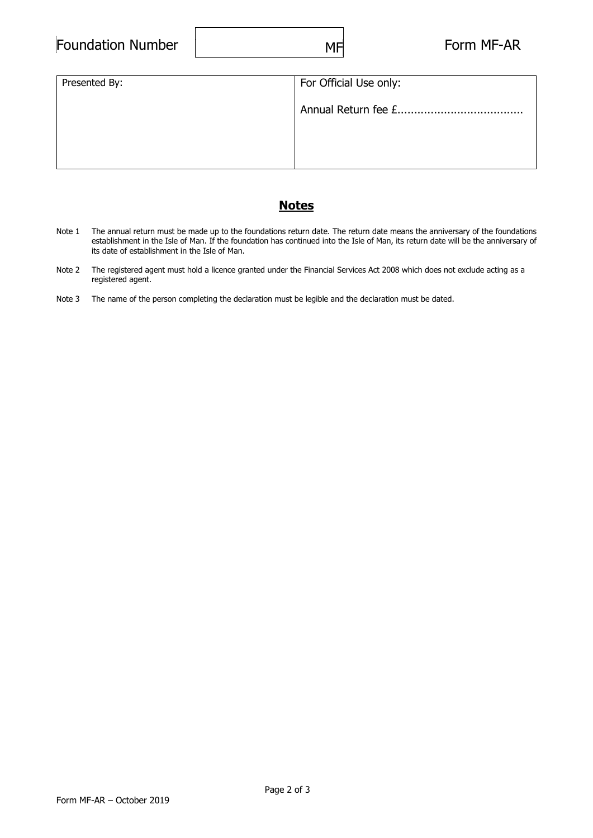| Presented By: | For Official Use only: |
|---------------|------------------------|
|               | Annual Return fee £    |
|               |                        |
|               |                        |

### **Notes**

- Note 1 The annual return must be made up to the foundations return date. The return date means the anniversary of the foundations establishment in the Isle of Man. If the foundation has continued into the Isle of Man, its return date will be the anniversary of its date of establishment in the Isle of Man.
- Note 2 The registered agent must hold a licence granted under the Financial Services Act 2008 which does not exclude acting as a registered agent.
- Note 3 The name of the person completing the declaration must be legible and the declaration must be dated.